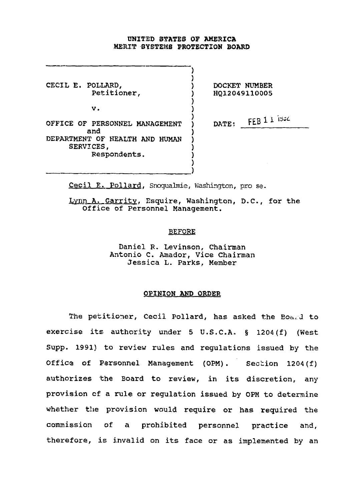### UNITED STATES OF AMERICA MERIT SYSTEMS PROTECTION BOARD

 $\sum_{i=1}^{n}$ 

CECIL E. POLLARD, (CECIL E. POLLARD) DOCKET NUMBER<br>Petitioner, (2001) 2012049110005

v. (a)

Petitioner, ) HQ12049110005

OFFICE OF PERSONNEL MANAGEMENT  $\big)$  DATE: FEB 1 1 1934 and  $\overline{\hspace{1cm}}$  ) DEPARTMENT OF HEALTH AND HUMAN SERVICES, Respondents. )

Cecil E. Pollard, Snoqualmie, Washington, pro se.

Lynn A. Garrity, Esquire, Washington, D.C., for the Office of Personnel Management.

# BEFORE

Daniel R. Levinson, Chairman Antonio C. Amador, Vice Chairman Jessica L. Parks, Member

## OPINION AND ORDER

The petitioner, Cecil Pollard, has asked the Board to exercise its authority under 5 U.S.C.A, § 1204(f) (West Supp. 1991) to review rules and regulations issued by the Office of Personnel Management (0PM). Section 1204(f) authorizes the Board to review, in its discretion, any provision of a rule or regulation issued by 0PM to determine whether the provision would require or has required the commission of a prohibited personnel practice and, therefore, is invalid on its face or as implemented by an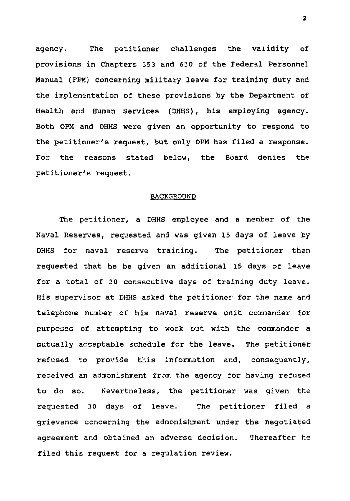agency. The petitioner challenges the validity of provisions in Chapters 353 and 630 of the Federal Personnel Manual (FPM) concerning military leave for training duty and the implementation of these provisions by the Department of Health and Human Services (DHHS), his employing agency. Both 0PM and DHHS were given an opportunity to respond to the petitioner's request, but only OPM has filed a response. For the reasons stated below, the Board denies the petitioner's request.

### BACKGROUND

The petitioner, a DHHS employee and a member of the Naval Reserves, requested and was given 15 days of leave by DHHS for naval reserve training. The petitioner then requested that he be given an additional 15 days of leave for a total of 30 consecutive days of training duty leave. His supervisor at DHHS asked the petitioner for the name and telephone number of his naval reserve unit commander for purposes of attempting to work out with the commander a mutually acceptable schedule for the leave. The petitioner refused to provide this information and, consequently, received an admonishment from the agency for having refused to do so. Nevertheless, the petitioner was given the requested 30 days of leave. The petitioner filed a grievance concerning the admonishment under the negotiated, agreement and obtained an adverse decision. Thereafter he filed this request for a regulation review.

 $\overline{\mathbf{2}}$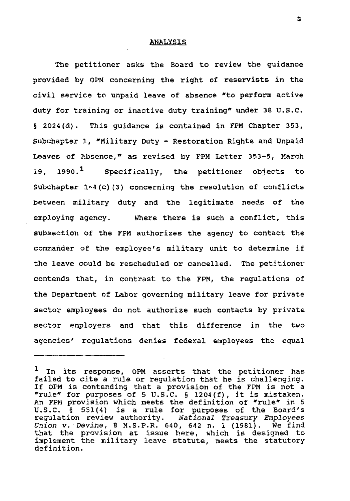### ANALYSIS

The petitioner asks the Board to review the guidance provided by 0PM concerning the right of reservists in the civil service to unpaid leave of absence "to perform active duty for training or inactive duty training" under 38 U.S.C. § 2024(d). This guidance is contained in FPM Chapter 353, Subchapter 1, "Military Duty - Restoration Rights and Unpaid Leaves of Absence," as revised by FPM Letter 353-5, March 19, 1990.<sup>1</sup> Specifically, the petitioner objects to Subchapter 1-4(c)(3) concerning the resolution of conflicts between military duty and the legitimate needs of the employing agency. Where there is such a conflict, this subsection of the FPM authorizes the agency to contact the commander of the employee's military unit to determine if the leave could be rescheduled or cancelled. The petitioner contends that, in contrast to the FPM, the regulations of the Department of Labor governing military leave for private sector employees do not authorize such contacts by private sector employers and that this difference in the two agencies' regulations denies federal employees the equal

<sup>1</sup> In its response, OPM asserts that the petitioner has failed to cite a rule or regulation that he is challenging. If 0PM is contending that a provision of the FPM is not a "rule\* for purposes of 5 U.S.C. § 1204(f), it is mistaken. An FPM provision which meets the definition of  $r$ rule" in 5 U.S.C. § 551(4) is a rule for purposes of the Board's regulation review authority. National Treasury Employees Union v. Devine, 8 M.S.P.R. 640, 642 n. 1 (1981). We find that the provision at issue here, which is designed to implement the military leave statute, meets the statutory definition.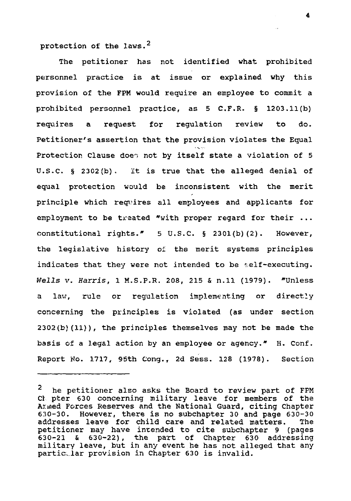protection of the laws.<sup>2</sup>

The petitioner has not identified what prohibited personnel practice is at issue or explained why this provision of the FPM would require an employee to commit a prohibited personnel practice, as 5 C.F.R. § 1203.11(b) requires a request for regulation review to do. Petitioner's assertion that the provision violates the Equal <sup>i</sup> -s - -. Protection Clause does not by itself state a violation of 5 U.S.C. § 2302{b). It is true that the alleged denial of equal protection would be inconsistent with the merit ff principle which requires all employees and applicants for employment to be treated "with proper regard for their ... constitutional rights." 5 U.S.C. § 2301(b)(2). However, the legislative history of the merit systems principles indicates that they were not intended to be self-executing. Wells v. Harris, 1 M.S.P.R. 208, 215 & n.ll (1979). "Unless a law, rule or regulation implementing or directly concerning the principles is violated (as under section 2302 (b) (11)) , the principles themselves may not be made the basis of a legal action by an employee or agency." H. Conf. Report No. 1717, 95th Cong., 2d Sess. 128 (1978). Section

 $\mathbf{z}$ he petitioner also asks the Board to review part of FPM Cl pter 630 concerning military leave for members of the Armed Forces Reserves and the National Guard, citing Chapter 630-30. However, there is no subchapter 30 and page 630-30 addresses leave for child care and related matters. The petitioner may have intended to cite subchapter 9 (pages 630-21 & 630-22), the part of Chapter 630 addressing military leave, but in any event he has not alleged that any particular provision in Chapter 630 is invalid.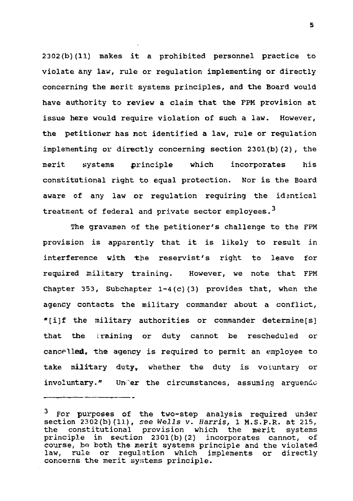2302(b)(11) makes it a prohibited personnel practice to violate any law, rule or regulation implementing or directly concerning the merit systems principles, and the Board would have authority to review a claim that the FPM provision at issue here would require violation of such a law. However, the petitioner has not identified a law, rule or regulation implementing or directly concerning section 2301(b)(2), the merit systems principle which incorporates his constitutional right to equal protection. Nor is the Board aware of any law or regulation requiring the identical treatment of federal and private sector employees.<sup>3</sup>

The gravamen of the petitioner's challenge to the FPM provision is apparently that it is likely to result in interference with the reservist's right to leave for required military training. However, we note that FPM Chapter 353, Subchapter 1-4(c)(3) provides that, when the agency contacts the military commander about a conflict, \*[i]f the military authorities or commander determine[s] that the training or duty cannot be rescheduled or cancelled, the agency is required to permit an employee to take military duty, whether the duty is voluntary or involuntary." Under the circumstances, assuming arguendo

<sup>&</sup>lt;sup>3</sup> For purposes of the two-step analysis required under section 2302(b)(11), see Wells v. Harris, 1 M.S.P.R. at 215,<br>the constitutional provision which the merit systems the constitutional provision which the merit principle in section 230l(b)(2) incorporates cannot, of course, b« both the merit systems principle and the violated law, rule or regulation which implements or directly concerns the merit systems principle.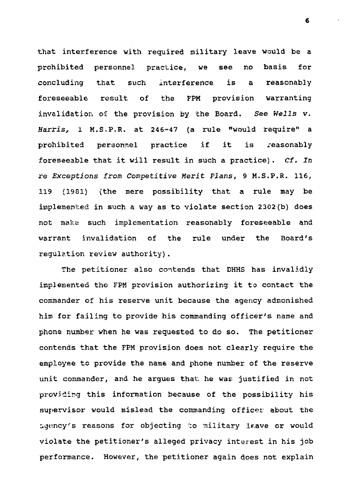that interference with required military leave would be a prohibited personnel practice, we see no basis for concluding that such interference is a reasonably foreseeable result of the FPM provision warranting invalidation of the provision by the Board. See Wells v. Harris, 1 M.S,P.R. at 246-47 (a rule "would require" a prohibited personnel practice if it is reasonably foreseeable that it will result in such a practice). Cf. In re Exceptions from Competitive Merit Plans, 9 M.S.P.R. 116, 119 (1901) (the mere possibility that a rule may be implemented in such a way as to violate section 2302(b) does not make such implementation reasonably foreseeable and warrant invalidation of the rule under the Board's regulation review authority).

The petitioner also contends that DHHS has invalidly implemented the FPM provision authorizing it to contact the commander of his reserve unit because the agency admonished him for failing to provide his commanding officer's name and phone number when he was requested to do so. The petitioner contends that the FPM provision does not clearly require the employee to provide the name and phone number of the reserve unit commander, and he argues that, he was justified in not providing this information because of the possibility his supervisor would mislead the commanding officer about the ugoncy's reasons for objecting to military Ir.ave or would violate the petitioner's alleged privacy interest in his job performance. However, the petitioner again does not explain